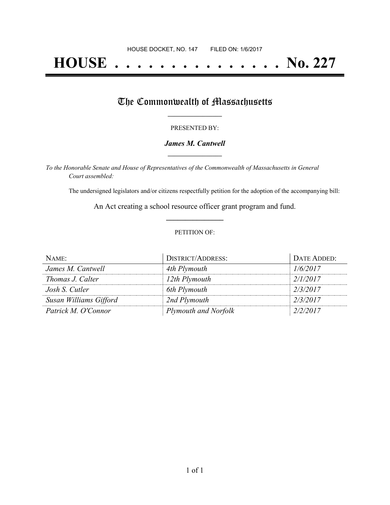# **HOUSE . . . . . . . . . . . . . . . No. 227**

## The Commonwealth of Massachusetts

#### PRESENTED BY:

#### *James M. Cantwell* **\_\_\_\_\_\_\_\_\_\_\_\_\_\_\_\_\_**

*To the Honorable Senate and House of Representatives of the Commonwealth of Massachusetts in General Court assembled:*

The undersigned legislators and/or citizens respectfully petition for the adoption of the accompanying bill:

An Act creating a school resource officer grant program and fund. **\_\_\_\_\_\_\_\_\_\_\_\_\_\_\_**

#### PETITION OF:

| NAME:                  | <b>DISTRICT/ADDRESS:</b>    | DATE ADDED: |
|------------------------|-----------------------------|-------------|
| James M. Cantwell      | 4th Plymouth                | 1/6/2017    |
| Thomas J. Calter       | 12th Plymouth               | 2/1/2017    |
| Josh S. Cutler         | 6th Plymouth                | 2/3/2017    |
| Susan Williams Gifford | 2nd Plymouth                | 2/3/2017    |
| Patrick M. O'Connor    | <b>Plymouth and Norfolk</b> | 2/2/2017    |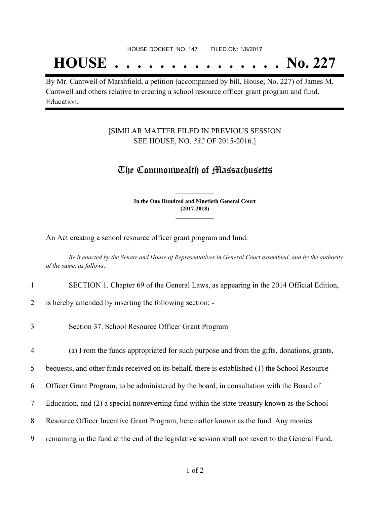#### HOUSE DOCKET, NO. 147 FILED ON: 1/6/2017

## **HOUSE . . . . . . . . . . . . . . . No. 227**

By Mr. Cantwell of Marshfield, a petition (accompanied by bill, House, No. 227) of James M. Cantwell and others relative to creating a school resource officer grant program and fund. Education.

#### [SIMILAR MATTER FILED IN PREVIOUS SESSION SEE HOUSE, NO. *332* OF 2015-2016.]

### The Commonwealth of Massachusetts

**In the One Hundred and Ninetieth General Court (2017-2018) \_\_\_\_\_\_\_\_\_\_\_\_\_\_\_**

**\_\_\_\_\_\_\_\_\_\_\_\_\_\_\_**

An Act creating a school resource officer grant program and fund.

Be it enacted by the Senate and House of Representatives in General Court assembled, and by the authority *of the same, as follows:*

#### 1 SECTION 1. Chapter 69 of the General Laws, as appearing in the 2014 Official Edition,

2 is hereby amended by inserting the following section: -

3 Section 37. School Resource Officer Grant Program

4 (a) From the funds appropriated for such purpose and from the gifts, donations, grants,

5 bequests, and other funds received on its behalf, there is established (1) the School Resource

- 6 Officer Grant Program, to be administered by the board, in consultation with the Board of
- 7 Education, and (2) a special nonreverting fund within the state treasury known as the School
- 8 Resource Officer Incentive Grant Program, hereinafter known as the fund. Any monies
- 9 remaining in the fund at the end of the legislative session shall not revert to the General Fund,